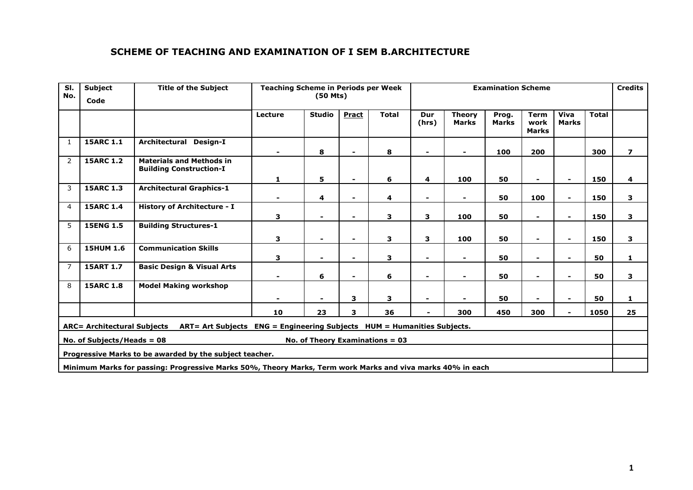# **SCHEME OF TEACHING AND EXAMINATION OF I SEM B.ARCHITECTURE**

| SI.<br>No.                                                                                                    | <b>Subject</b><br>Code | <b>Title of the Subject</b>                                       | <b>Teaching Scheme in Periods per Week</b> | <b>Examination Scheme</b> |                          |              |              |                               |                       | <b>Credits</b>                      |                          |              |                          |
|---------------------------------------------------------------------------------------------------------------|------------------------|-------------------------------------------------------------------|--------------------------------------------|---------------------------|--------------------------|--------------|--------------|-------------------------------|-----------------------|-------------------------------------|--------------------------|--------------|--------------------------|
|                                                                                                               |                        |                                                                   | Lecture                                    | <b>Studio</b>             | <b>Pract</b>             | <b>Total</b> | Dur<br>(hrs) | <b>Theory</b><br><b>Marks</b> | Prog.<br><b>Marks</b> | <b>Term</b><br>work<br><b>Marks</b> | Viva<br><b>Marks</b>     | <b>Total</b> |                          |
| 1                                                                                                             | <b>15ARC 1.1</b>       | Architectural Design-I                                            |                                            | 8                         | $\overline{\phantom{0}}$ | 8            |              |                               | 100                   | 200                                 |                          | 300          | $\overline{\phantom{a}}$ |
| $\overline{2}$                                                                                                | <b>15ARC 1.2</b>       | <b>Materials and Methods in</b><br><b>Building Construction-I</b> | 1                                          | 5                         | $\overline{\phantom{0}}$ | 6            | 4            | 100                           | 50                    | $\overline{\phantom{a}}$            | $\overline{\phantom{0}}$ | 150          | 4                        |
| 3                                                                                                             | <b>15ARC 1.3</b>       | <b>Architectural Graphics-1</b>                                   |                                            | 4                         |                          | 4            |              |                               | 50                    | 100                                 |                          | 150          | З                        |
| 4                                                                                                             | <b>15ARC 1.4</b>       | <b>History of Architecture - I</b>                                | 3                                          |                           | $\blacksquare$           | 3            | 3            | 100                           | 50                    |                                     |                          | 150          | 3                        |
| 5                                                                                                             | <b>15ENG 1.5</b>       | <b>Building Structures-1</b>                                      | 3                                          |                           | $\blacksquare$           | 3            | 3            | 100                           | 50                    |                                     |                          | 150          | 3                        |
| 6                                                                                                             | <b>15HUM 1.6</b>       | <b>Communication Skills</b>                                       | 3                                          |                           | $\overline{\phantom{0}}$ | 3            |              | $\overline{\phantom{0}}$      | 50                    |                                     |                          | 50           | 1                        |
| $\overline{7}$                                                                                                | <b>15ART 1.7</b>       | <b>Basic Design &amp; Visual Arts</b>                             |                                            | 6                         | $\blacksquare$           | 6            |              | $\blacksquare$                | 50                    |                                     |                          | 50           | З                        |
| 8                                                                                                             | <b>15ARC 1.8</b>       | <b>Model Making workshop</b>                                      |                                            |                           | 3                        | 3            |              |                               | 50                    |                                     |                          | 50           | 1                        |
|                                                                                                               |                        |                                                                   | 10                                         | 23                        | 3                        | 36           |              | 300                           | 450                   | 300                                 |                          | 1050         | 25                       |
| <b>ARC= Architectural Subjects</b><br>ART= Art Subjects ENG = Engineering Subjects HUM = Humanities Subjects. |                        |                                                                   |                                            |                           |                          |              |              |                               |                       |                                     |                          |              |                          |
| No. of Theory Examinations $= 03$<br>No. of Subjects/Heads = $08$                                             |                        |                                                                   |                                            |                           |                          |              |              |                               |                       |                                     |                          |              |                          |
| Progressive Marks to be awarded by the subject teacher.                                                       |                        |                                                                   |                                            |                           |                          |              |              |                               |                       |                                     |                          |              |                          |
| Minimum Marks for passing: Progressive Marks 50%, Theory Marks, Term work Marks and viva marks 40% in each    |                        |                                                                   |                                            |                           |                          |              |              |                               |                       |                                     |                          |              |                          |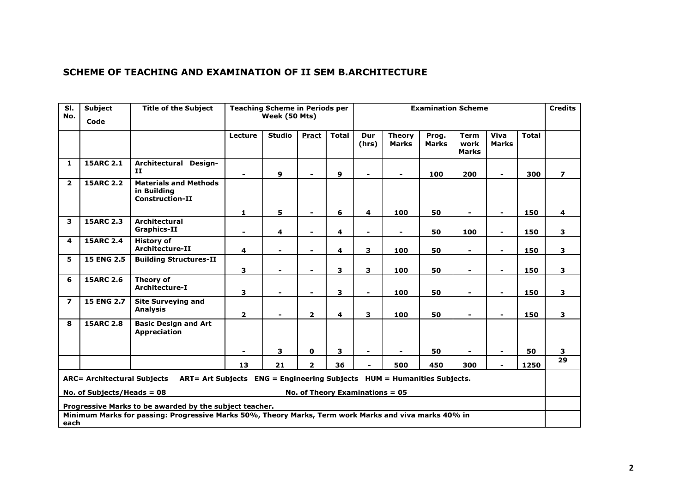# **SCHEME OF TEACHING AND EXAMINATION OF II SEM B.ARCHITECTURE**

| SI.<br>No.                                                                                                        | <b>Subject</b><br>Code | <b>Title of the Subject</b>                                           | <b>Teaching Scheme in Periods per</b><br>Week (50 Mts) |               |                          |              |                          | <b>Credits</b>                |                       |                                     |                      |              |                |
|-------------------------------------------------------------------------------------------------------------------|------------------------|-----------------------------------------------------------------------|--------------------------------------------------------|---------------|--------------------------|--------------|--------------------------|-------------------------------|-----------------------|-------------------------------------|----------------------|--------------|----------------|
|                                                                                                                   |                        |                                                                       | Lecture                                                | <b>Studio</b> | Pract                    | <b>Total</b> | Dur<br>(hrs)             | <b>Theory</b><br><b>Marks</b> | Prog.<br><b>Marks</b> | <b>Term</b><br>work<br><b>Marks</b> | Viva<br><b>Marks</b> | <b>Total</b> |                |
| 1                                                                                                                 | <b>15ARC 2.1</b>       | Architectural Design-<br>$\mathbf{H}$                                 | $\overline{\phantom{a}}$                               | $\mathbf{9}$  | $\overline{\phantom{a}}$ | 9            | $\blacksquare$           |                               | 100                   | 200                                 | ۰                    | 300          | $\overline{7}$ |
| $\overline{2}$                                                                                                    | <b>15ARC 2.2</b>       | <b>Materials and Methods</b><br>in Building<br><b>Construction-II</b> |                                                        |               |                          |              |                          |                               |                       |                                     |                      |              |                |
|                                                                                                                   | <b>15ARC 2.3</b>       | <b>Architectural</b>                                                  | 1                                                      | 5             | $\overline{\phantom{a}}$ | 6            | 4                        | 100                           | 50                    | $\sim$                              | -                    | 150          | 4              |
| 3                                                                                                                 |                        | <b>Graphics-II</b>                                                    | $\blacksquare$                                         | 4             | $\blacksquare$           | 4            | $\blacksquare$           |                               | 50                    | 100                                 | $\blacksquare$       | 150          | 3              |
| 4                                                                                                                 | <b>15ARC 2.4</b>       | <b>History of</b><br><b>Architecture-II</b>                           | 4                                                      |               | $\blacksquare$           | 4            | 3                        | 100                           | 50                    |                                     | -                    | 150          | 3              |
| 5                                                                                                                 | <b>15 ENG 2.5</b>      | <b>Building Structures-II</b>                                         |                                                        |               |                          |              |                          |                               |                       |                                     |                      |              |                |
|                                                                                                                   |                        |                                                                       | 3                                                      |               | $\overline{\phantom{a}}$ | 3            | 3                        | 100                           | 50                    |                                     | $\blacksquare$       | 150          | 3              |
| 6                                                                                                                 | <b>15ARC 2.6</b>       | Theory of<br>Architecture-I                                           | 3                                                      |               | $\overline{\phantom{a}}$ | 3            | $\overline{\phantom{0}}$ | 100                           | 50                    | $\blacksquare$                      | $\blacksquare$       | 150          | $\mathbf{3}$   |
| $\overline{\mathbf{z}}$                                                                                           | <b>15 ENG 2.7</b>      | <b>Site Surveying and</b><br><b>Analysis</b>                          | $\overline{2}$                                         |               | $\overline{2}$           | 4            | 3                        | 100                           | 50                    |                                     |                      | 150          | 3              |
| 8                                                                                                                 | <b>15ARC 2.8</b>       | <b>Basic Design and Art</b><br><b>Appreciation</b>                    |                                                        |               |                          |              |                          |                               |                       |                                     |                      |              |                |
|                                                                                                                   |                        |                                                                       |                                                        | 3             | $\mathbf 0$              | 3            | $\blacksquare$           |                               | 50                    |                                     |                      | 50           | $\mathbf{3}$   |
|                                                                                                                   |                        |                                                                       | 13                                                     | 21            | $\mathbf{2}$             | 36           | $\blacksquare$           | 500                           | 450                   | 300                                 | -                    | 1250         | 29             |
| ART= Art Subjects   ENG = Engineering Subjects   HUM = Humanities Subjects.<br><b>ARC= Architectural Subjects</b> |                        |                                                                       |                                                        |               |                          |              |                          |                               |                       |                                     |                      |              |                |
| No. of Theory Examinations $= 05$<br>No. of Subjects/Heads = $08$                                                 |                        |                                                                       |                                                        |               |                          |              |                          |                               |                       |                                     |                      |              |                |
| Progressive Marks to be awarded by the subject teacher.                                                           |                        |                                                                       |                                                        |               |                          |              |                          |                               |                       |                                     |                      |              |                |
| Minimum Marks for passing: Progressive Marks 50%, Theory Marks, Term work Marks and viva marks 40% in             |                        |                                                                       |                                                        |               |                          |              |                          |                               |                       |                                     |                      |              |                |
| each                                                                                                              |                        |                                                                       |                                                        |               |                          |              |                          |                               |                       |                                     |                      |              |                |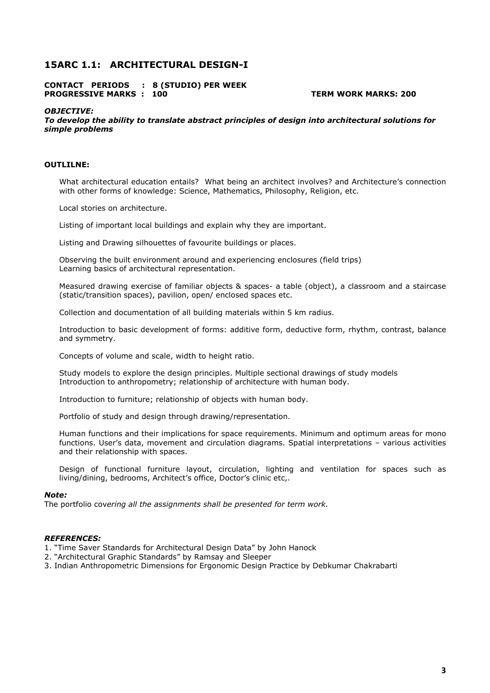# **15ARC 1.1: ARCHITECTURAL DESIGN-I**

**CONTACT PERIODS : 8 (STUDIO) PER WEEK PROGRESSIVE MARKS : 100 TERM WORK MARKS: 200** 

#### *OBJECTIVE:*

*To develop the ability to translate abstract principles of design into architectural solutions for simple problems* 

#### **OUTLILNE:**

What architectural education entails? What being an architect involves? and Architecture's connection with other forms of knowledge: Science, Mathematics, Philosophy, Religion, etc.

Local stories on architecture.

Listing of important local buildings and explain why they are important.

Listing and Drawing silhouettes of favourite buildings or places.

Observing the built environment around and experiencing enclosures (field trips) Learning basics of architectural representation.

Measured drawing exercise of familiar objects & spaces- a table (object), a classroom and a staircase (static/transition spaces), pavilion, open/ enclosed spaces etc.

Collection and documentation of all building materials within 5 km radius.

Introduction to basic development of forms: additive form, deductive form, rhythm, contrast, balance and symmetry.

Concepts of volume and scale, width to height ratio.

Study models to explore the design principles. Multiple sectional drawings of study models Introduction to anthropometry; relationship of architecture with human body.

Introduction to furniture; relationship of objects with human body.

Portfolio of study and design through drawing/representation.

Human functions and their implications for space requirements. Minimum and optimum areas for mono functions. User's data, movement and circulation diagrams. Spatial interpretations – various activities and their relationship with spaces.

Design of functional furniture layout, circulation, lighting and ventilation for spaces such as living/dining, bedrooms, Architect's office, Doctor's clinic etc,.

#### *Note:*

The portfolio cov*ering all the assignments shall be presented for term work.* 

#### *REFERENCES:*

1. "Time Saver Standards for Architectural Design Data" by John Hanock

2. "Architectural Graphic Standards" by Ramsay and Sleeper

3. Indian Anthropometric Dimensions for Ergonomic Design Practice by Debkumar Chakrabarti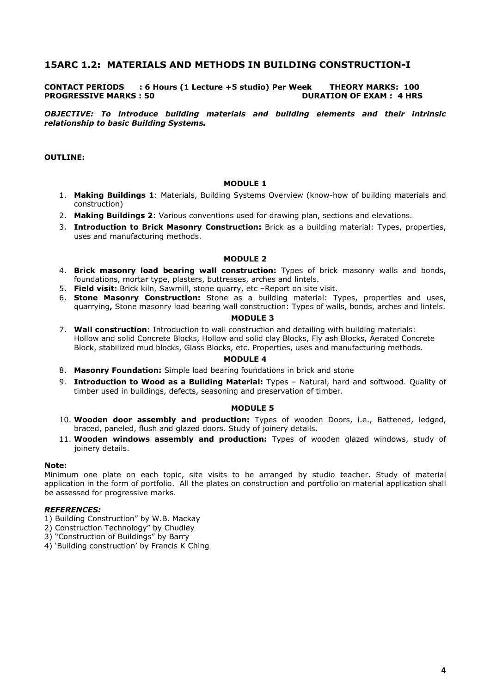# **15ARC 1.2: MATERIALS AND METHODS IN BUILDING CONSTRUCTION-I**

# **CONTACT PERIODS : 6 Hours (1 Lecture +5 studio) Per Week THEORY MARKS: 100 PROGRESSIVE MARKS : 50**

*OBJECTIVE: To introduce building materials and building elements and their intrinsic relationship to basic Building Systems.* 

## **OUTLINE:**

#### **MODULE 1**

- 1. **Making Buildings 1**: Materials, Building Systems Overview (know-how of building materials and construction)
- 2. **Making Buildings 2**: Various conventions used for drawing plan, sections and elevations.
- 3. **Introduction to Brick Masonry Construction:** Brick as a building material: Types, properties, uses and manufacturing methods.

### **MODULE 2**

- 4. **Brick masonry load bearing wall construction:** Types of brick masonry walls and bonds, foundations, mortar type, plasters, buttresses, arches and lintels.
- 5. **Field visit:** Brick kiln, Sawmill, stone quarry, etc –Report on site visit.
- 6. **Stone Masonry Construction:** Stone as a building material: Types, properties and uses, quarrying**,** Stone masonry load bearing wall construction: Types of walls, bonds, arches and lintels.

#### **MODULE 3**

7. **Wall construction**: Introduction to wall construction and detailing with building materials: Hollow and solid Concrete Blocks, Hollow and solid clay Blocks, Fly ash Blocks, Aerated Concrete Block, stabilized mud blocks, Glass Blocks, etc. Properties, uses and manufacturing methods.

#### **MODULE 4**

- 8. **Masonry Foundation:** Simple load bearing foundations in brick and stone
- 9. **Introduction to Wood as a Building Material:** Types Natural, hard and softwood. Quality of timber used in buildings, defects, seasoning and preservation of timber.

#### **MODULE 5**

- 10. **Wooden door assembly and production:** Types of wooden Doors, i.e., Battened, ledged, braced, paneled, flush and glazed doors. Study of joinery details.
- 11. **Wooden windows assembly and production:** Types of wooden glazed windows, study of joinery details.

#### **Note:**

Minimum one plate on each topic, site visits to be arranged by studio teacher. Study of material application in the form of portfolio. All the plates on construction and portfolio on material application shall be assessed for progressive marks.

- 1) Building Construction" by W.B. Mackay
- 2) Construction Technology" by Chudley
- 3) "Construction of Buildings" by Barry
- 4) 'Building construction' by Francis K Ching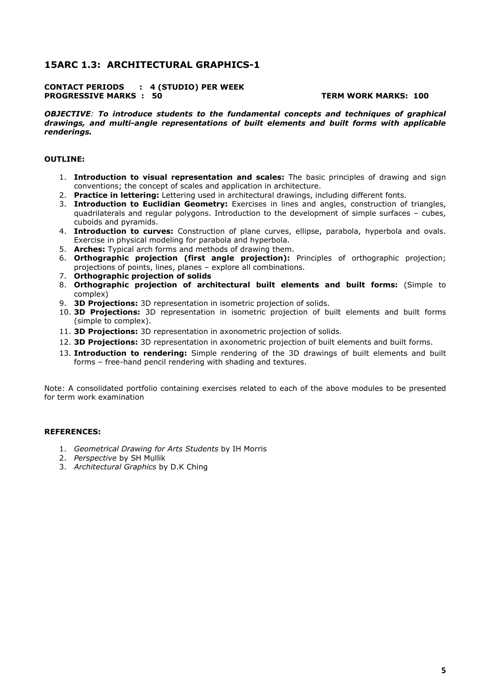# **15ARC 1.3: ARCHITECTURAL GRAPHICS-1**

### **CONTACT PERIODS : 4 (STUDIO) PER WEEK PROGRESSIVE MARKS : 50 TERM WORK MARKS: 100**

*OBJECTIVE: To introduce students to the fundamental concepts and techniques of graphical drawings, and multi-angle representations of built elements and built forms with applicable renderings.* 

## **OUTLINE:**

- 1. **Introduction to visual representation and scales:** The basic principles of drawing and sign conventions; the concept of scales and application in architecture.
- 2. **Practice in lettering:** Lettering used in architectural drawings, including different fonts.
- 3. **Introduction to Euclidian Geometry:** Exercises in lines and angles, construction of triangles, quadrilaterals and regular polygons. Introduction to the development of simple surfaces – cubes, cuboids and pyramids.
- 4. **Introduction to curves:** Construction of plane curves, ellipse, parabola, hyperbola and ovals. Exercise in physical modeling for parabola and hyperbola.
- 5. **Arches:** Typical arch forms and methods of drawing them.
- 6. **Orthographic projection (first angle projection):** Principles of orthographic projection; projections of points, lines, planes – explore all combinations.
- 7. **Orthographic projection of solids**
- 8. **Orthographic projection of architectural built elements and built forms:** (Simple to complex)
- 9. **3D Projections:** 3D representation in isometric projection of solids.
- 10. **3D Projections:** 3D representation in isometric projection of built elements and built forms (simple to complex).
- 11. **3D Projections:** 3D representation in axonometric projection of solids.
- 12. **3D Projections:** 3D representation in axonometric projection of built elements and built forms.
- 13. **Introduction to rendering:** Simple rendering of the 3D drawings of built elements and built forms – free-hand pencil rendering with shading and textures.

Note: A consolidated portfolio containing exercises related to each of the above modules to be presented for term work examination

- 1. *Geometrical Drawing for Arts Students* by IH Morris
- 2. *Perspective* by SH Mullik
- 3. *Architectural Graphics* by D.K Ching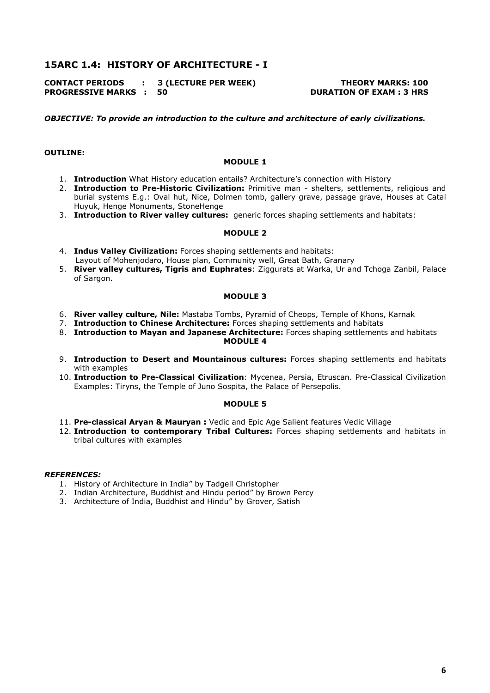# **15ARC 1.4: HISTORY OF ARCHITECTURE - I**

**CONTACT PERIODS : 3 (LECTURE PER WEEK) THEORY MARKS: 100 PROGRESSIVE MARKS : 50 DURATION OF EXAM : 3 HRS** 

*OBJECTIVE: To provide an introduction to the culture and architecture of early civilizations.* 

#### **OUTLINE:**

#### **MODULE 1**

- 1. **Introduction** What History education entails? Architecture's connection with History
- 2. **Introduction to Pre-Historic Civilization:** Primitive man shelters, settlements, religious and burial systems E.g.: Oval hut, Nice, Dolmen tomb, gallery grave, passage grave, Houses at Catal Huyuk, Henge Monuments, StoneHenge
- 3. **Introduction to River valley cultures:** generic forces shaping settlements and habitats:

#### **MODULE 2**

- 4. **Indus Valley Civilization:** Forces shaping settlements and habitats: Layout of Mohenjodaro, House plan, Community well, Great Bath, Granary
- 5. **River valley cultures, Tigris and Euphrates**: Ziggurats at Warka, Ur and Tchoga Zanbil, Palace of Sargon.

#### **MODULE 3**

- 6. **River valley culture, Nile:** Mastaba Tombs, Pyramid of Cheops, Temple of Khons, Karnak
- 7. **Introduction to Chinese Architecture:** Forces shaping settlements and habitats
- 8. **Introduction to Mayan and Japanese Architecture:** Forces shaping settlements and habitats **MODULE 4**
- 9. **Introduction to Desert and Mountainous cultures:** Forces shaping settlements and habitats with examples
- 10. **Introduction to Pre-Classical Civilization**: Mycenea, Persia, Etruscan. Pre-Classical Civilization Examples: Tiryns, the Temple of Juno Sospita, the Palace of Persepolis.

#### **MODULE 5**

- 11. **Pre-classical Aryan & Mauryan :** Vedic and Epic Age Salient features Vedic Village
- 12. **Introduction to contemporary Tribal Cultures:** Forces shaping settlements and habitats in tribal cultures with examples

- 1. History of Architecture in India" by Tadgell Christopher
- 2. Indian Architecture, Buddhist and Hindu period" by Brown Percy
- 3. Architecture of India, Buddhist and Hindu" by Grover, Satish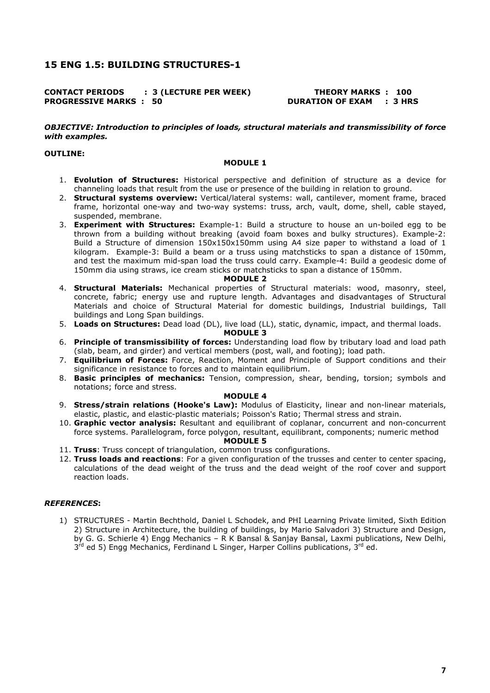# **15 ENG 1.5: BUILDING STRUCTURES-1**

# **CONTACT PERIODS : 3 (LECTURE PER WEEK) THEORY MARKS : 100 PROGRESSIVE MARKS : 50 DURATION OF EXAM : 3 HRS**

#### *OBJECTIVE: Introduction to principles of loads, structural materials and transmissibility of force with examples.*

# **OUTLINE:**

## **MODULE 1**

- 1. **Evolution of Structures:** Historical perspective and definition of structure as a device for channeling loads that result from the use or presence of the building in relation to ground.
- 2. **Structural systems overview:** Vertical/lateral systems: wall, cantilever, moment frame, braced frame, horizontal one-way and two-way systems: truss, arch, vault, dome, shell, cable stayed, suspended, membrane.
- 3. **Experiment with Structures:** Example-1: Build a structure to house an un-boiled egg to be thrown from a building without breaking (avoid foam boxes and bulky structures). Example-2: Build a Structure of dimension 150x150x150mm using A4 size paper to withstand a load of 1 kilogram. Example-3: Build a beam or a truss using matchsticks to span a distance of 150mm, and test the maximum mid-span load the truss could carry. Example-4: Build a geodesic dome of 150mm dia using straws, ice cream sticks or matchsticks to span a distance of 150mm.

#### **MODULE 2**

- 4. **Structural Materials:** Mechanical properties of Structural materials: wood, masonry, steel, concrete, fabric; energy use and rupture length. Advantages and disadvantages of Structural Materials and choice of Structural Material for domestic buildings, Industrial buildings, Tall buildings and Long Span buildings.
- 5. **Loads on Structures:** Dead load (DL), live load (LL), static, dynamic, impact, and thermal loads.

## **MODULE 3**

- 6. **Principle of transmissibility of forces:** Understanding load flow by tributary load and load path (slab, beam, and girder) and vertical members (post, wall, and footing); load path.
- 7. **Equilibrium of Forces:** Force, Reaction, Moment and Principle of Support conditions and their significance in resistance to forces and to maintain equilibrium.
- 8. **Basic principles of mechanics:** Tension, compression, shear, bending, torsion; symbols and notations; force and stress.

## **MODULE 4**

- 9. **Stress/strain relations (Hooke's Law):** Modulus of Elasticity, linear and non-linear materials, elastic, plastic, and elastic-plastic materials; Poisson's Ratio; Thermal stress and strain.
- 10. **Graphic vector analysis:** Resultant and equilibrant of coplanar, concurrent and non-concurrent force systems. Parallelogram, force polygon, resultant, equilibrant, components; numeric method **MODULE 5**
- 11. **Truss**: Truss concept of triangulation, common truss configurations.
- 12. **Truss loads and reactions**: For a given configuration of the trusses and center to center spacing, calculations of the dead weight of the truss and the dead weight of the roof cover and support reaction loads.

# *REFERENCES***:**

1) STRUCTURES - Martin Bechthold, Daniel L Schodek, and PHI Learning Private limited, Sixth Edition 2) Structure in Architecture, the building of buildings, by Mario Salvadori 3) Structure and Design, by G. G. Schierle 4) Engg Mechanics – R K Bansal & Sanjay Bansal, Laxmi publications, New Delhi, 3<sup>rd</sup> ed 5) Engg Mechanics, Ferdinand L Singer, Harper Collins publications, 3<sup>rd</sup> ed.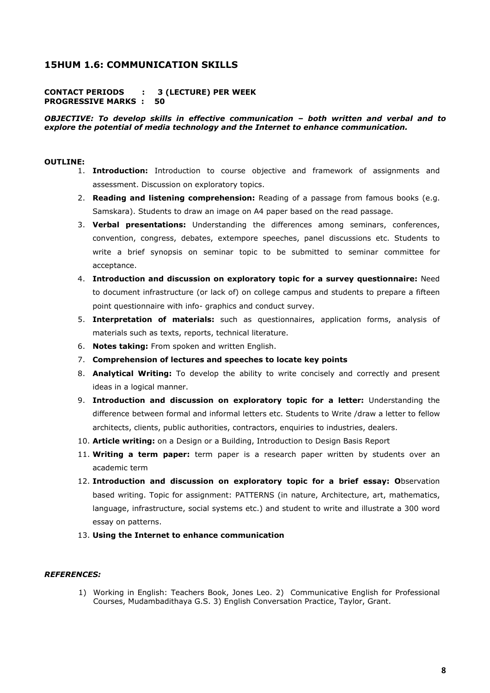# **15HUM 1.6: COMMUNICATION SKILLS**

## **CONTACT PERIODS : 3 (LECTURE) PER WEEK PROGRESSIVE MARKS : 50**

# *OBJECTIVE: To develop skills in effective communication – both written and verbal and to explore the potential of media technology and the Internet to enhance communication.*

#### **OUTLINE:**

- 1. **Introduction:** Introduction to course objective and framework of assignments and assessment. Discussion on exploratory topics.
- 2. **Reading and listening comprehension:** Reading of a passage from famous books (e.g. Samskara). Students to draw an image on A4 paper based on the read passage.
- 3. **Verbal presentations:** Understanding the differences among seminars, conferences, convention, congress, debates, extempore speeches, panel discussions etc. Students to write a brief synopsis on seminar topic to be submitted to seminar committee for acceptance.
- 4. **Introduction and discussion on exploratory topic for a survey questionnaire:** Need to document infrastructure (or lack of) on college campus and students to prepare a fifteen point questionnaire with info- graphics and conduct survey.
- 5. **Interpretation of materials:** such as questionnaires, application forms, analysis of materials such as texts, reports, technical literature.
- 6. **Notes taking:** From spoken and written English.
- 7. **Comprehension of lectures and speeches to locate key points**
- 8. **Analytical Writing:** To develop the ability to write concisely and correctly and present ideas in a logical manner.
- 9. **Introduction and discussion on exploratory topic for a letter:** Understanding the difference between formal and informal letters etc. Students to Write /draw a letter to fellow architects, clients, public authorities, contractors, enquiries to industries, dealers.
- 10. **Article writing:** on a Design or a Building, Introduction to Design Basis Report
- 11. **Writing a term paper:** term paper is a research paper written by students over an academic term
- 12. **Introduction and discussion on exploratory topic for a brief essay: O**bservation based writing. Topic for assignment: PATTERNS (in nature, Architecture, art, mathematics, language, infrastructure, social systems etc.) and student to write and illustrate a 300 word essay on patterns.
- 13. **Using the Internet to enhance communication**

# *REFERENCES:*

1) Working in English: Teachers Book, Jones Leo. 2) Communicative English for Professional Courses, Mudambadithaya G.S. 3) English Conversation Practice, Taylor, Grant.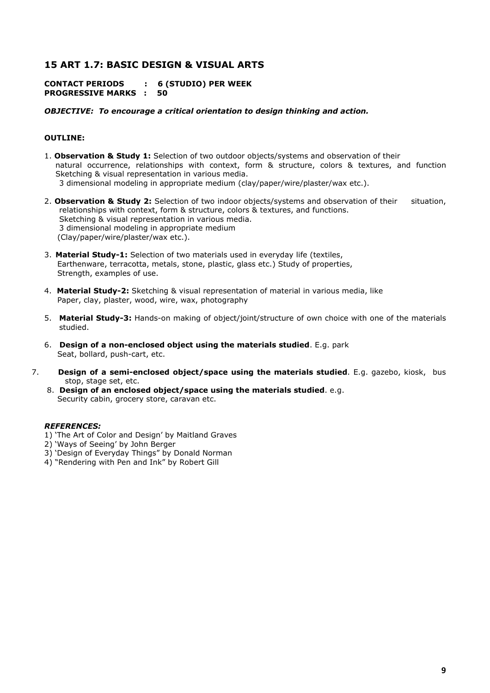# **15 ART 1.7: BASIC DESIGN & VISUAL ARTS**

**CONTACT PERIODS : 6 (STUDIO) PER WEEK PROGRESSIVE MARKS : 50** 

## *OBJECTIVE: To encourage a critical orientation to design thinking and action.*

# **OUTLINE:**

- 1. **Observation & Study 1:** Selection of two outdoor objects/systems and observation of their natural occurrence, relationships with context, form & structure, colors & textures, and function Sketching & visual representation in various media. 3 dimensional modeling in appropriate medium (clay/paper/wire/plaster/wax etc.).
- 2. **Observation & Study 2:** Selection of two indoor objects/systems and observation of their situation, relationships with context, form & structure, colors & textures, and functions. Sketching & visual representation in various media. 3 dimensional modeling in appropriate medium (Clay/paper/wire/plaster/wax etc.).
- 3. **Material Study-1:** Selection of two materials used in everyday life (textiles, Earthenware, terracotta, metals, stone, plastic, glass etc.) Study of properties, Strength, examples of use.
- 4. **Material Study-2:** Sketching & visual representation of material in various media, like Paper, clay, plaster, wood, wire, wax, photography
- 5. **Material Study-3:** Hands-on making of object/joint/structure of own choice with one of the materials studied.
- 6. **Design of a non-enclosed object using the materials studied**. E.g. park Seat, bollard, push-cart, etc.
- 7. **Design of a semi-enclosed object/space using the materials studied**. E.g. gazebo, kiosk, bus stop, stage set, etc.
	- 8. **Design of an enclosed object/space using the materials studied**. e.g. Security cabin, grocery store, caravan etc.

- 1) 'The Art of Color and Design' by Maitland Graves
- 2) 'Ways of Seeing' by John Berger
- 3) 'Design of Everyday Things" by Donald Norman
- 4) "Rendering with Pen and Ink" by Robert Gill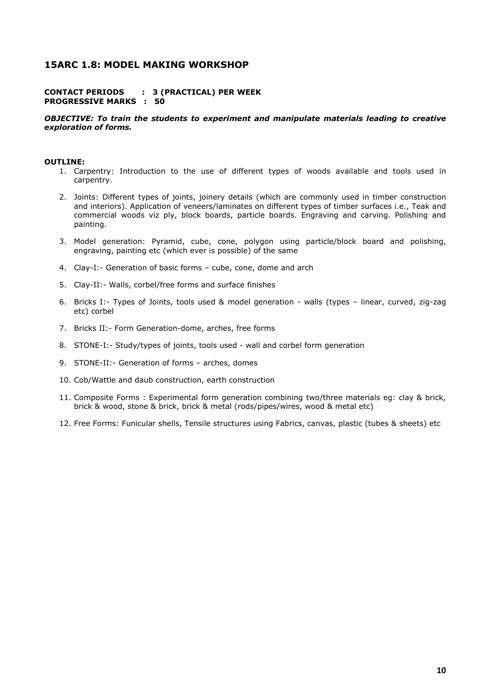# **15ARC 1.8: MODEL MAKING WORKSHOP**

## **CONTACT PERIODS : 3 (PRACTICAL) PER WEEK PROGRESSIVE MARKS : 50**

#### *OBJECTIVE: To train the students to experiment and manipulate materials leading to creative exploration of forms.*

#### **OUTLINE:**

- 1. Carpentry: Introduction to the use of different types of woods available and tools used in carpentry.
- 2. Joints: Different types of joints, joinery details (which are commonly used in timber construction and interiors). Application of veneers/laminates on different types of timber surfaces i.e., Teak and commercial woods viz ply, block boards, particle boards. Engraving and carving. Polishing and painting.
- 3. Model generation: Pyramid, cube, cone, polygon using particle/block board and polishing, engraving, painting etc (which ever is possible) of the same
- 4. Clay-I:- Generation of basic forms cube, cone, dome and arch
- 5. Clay-II:- Walls, corbel/free forms and surface finishes
- 6. Bricks I:- Types of Joints, tools used & model generation walls (types linear, curved, zig-zag etc) corbel
- 7. Bricks II:- Form Generation-dome, arches, free forms
- 8. STONE-I:- Study/types of joints, tools used wall and corbel form generation
- 9. STONE-II:- Generation of forms arches, domes
- 10. Cob/Wattle and daub construction, earth construction
- 11. Composite Forms : Experimental form generation combining two/three materials eg: clay & brick, brick & wood, stone & brick, brick & metal (rods/pipes/wires, wood & metal etc)
- 12. Free Forms: Funicular shells, Tensile structures using Fabrics, canvas, plastic (tubes & sheets) etc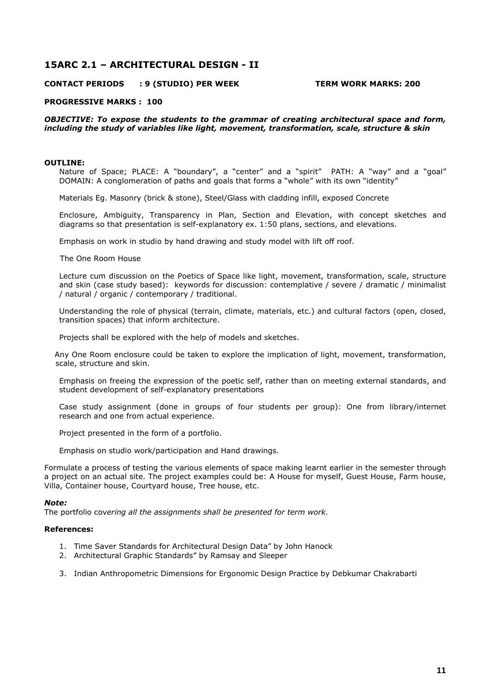# **15ARC 2.1 – ARCHITECTURAL DESIGN - II**

# **CONTACT PERIODS : 9 (STUDIO) PER WEEK TERM WORK MARKS: 200**

#### **PROGRESSIVE MARKS : 100**

*OBJECTIVE: To expose the students to the grammar of creating architectural space and form, including the study of variables like light, movement, transformation, scale, structure & skin* 

#### **OUTLINE:**

Nature of Space; PLACE: A "boundary", a "center" and a "spirit" PATH: A "way" and a "goal" DOMAIN: A conglomeration of paths and goals that forms a "whole" with its own "identity"

Materials Eg. Masonry (brick & stone), Steel/Glass with cladding infill, exposed Concrete

Enclosure, Ambiguity, Transparency in Plan, Section and Elevation, with concept sketches and diagrams so that presentation is self-explanatory ex. 1:50 plans, sections, and elevations.

Emphasis on work in studio by hand drawing and study model with lift off roof.

#### The One Room House

Lecture cum discussion on the Poetics of Space like light, movement, transformation, scale, structure and skin (case study based): keywords for discussion: contemplative / severe / dramatic / minimalist / natural / organic / contemporary / traditional.

Understanding the role of physical (terrain, climate, materials, etc.) and cultural factors (open, closed, transition spaces) that inform architecture.

Projects shall be explored with the help of models and sketches.

 Any One Room enclosure could be taken to explore the implication of light, movement, transformation, scale, structure and skin.

Emphasis on freeing the expression of the poetic self, rather than on meeting external standards, and student development of self-explanatory presentations

Case study assignment (done in groups of four students per group): One from library/internet research and one from actual experience.

Project presented in the form of a portfolio.

Emphasis on studio work/participation and Hand drawings.

Formulate a process of testing the various elements of space making learnt earlier in the semester through a project on an actual site. The project examples could be: A House for myself, Guest House, Farm house, Villa, Container house, Courtyard house, Tree house, etc.

#### *Note:*

The portfolio cov*ering all the assignments shall be presented for term work.* 

#### **References:**

- 1. Time Saver Standards for Architectural Design Data" by John Hanock
- 2. Architectural Graphic Standards" by Ramsay and Sleeper
- 3. Indian Anthropometric Dimensions for Ergonomic Design Practice by Debkumar Chakrabarti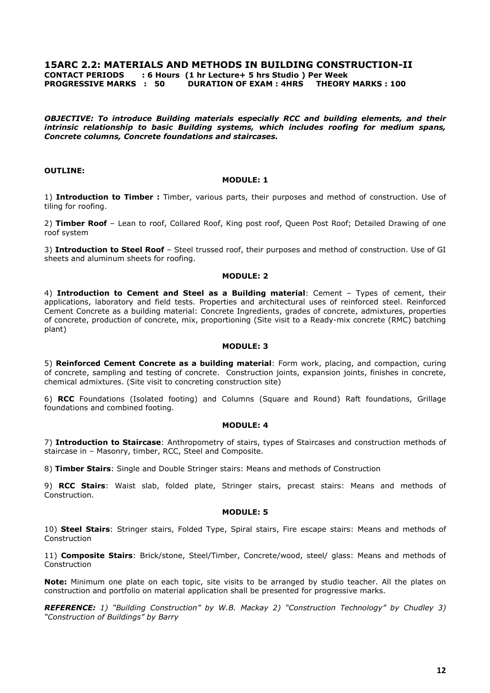# **15ARC 2.2: MATERIALS AND METHODS IN BUILDING CONSTRUCTION-II**

**CONTACT PERIODS : 6 Hours (1 hr Lecture+ 5 hrs Studio ) Per Week** 

**PROGRESSIVE MARKS : 50 DURATION OF EXAM : 4HRS THEORY MARKS : 100** 

*OBJECTIVE: To introduce Building materials especially RCC and building elements, and their intrinsic relationship to basic Building systems, which includes roofing for medium spans, Concrete columns, Concrete foundations and staircases.* 

# **OUTLINE:**

## **MODULE: 1**

1) **Introduction to Timber :** Timber, various parts, their purposes and method of construction. Use of tiling for roofing.

2) **Timber Roof** – Lean to roof, Collared Roof, King post roof, Queen Post Roof; Detailed Drawing of one roof system

3) **Introduction to Steel Roof** – Steel trussed roof, their purposes and method of construction. Use of GI sheets and aluminum sheets for roofing.

# **MODULE: 2**

4) **Introduction to Cement and Steel as a Building material**: Cement – Types of cement, their applications, laboratory and field tests. Properties and architectural uses of reinforced steel. Reinforced Cement Concrete as a building material: Concrete Ingredients, grades of concrete, admixtures, properties of concrete, production of concrete, mix, proportioning (Site visit to a Ready-mix concrete (RMC) batching plant)

### **MODULE: 3**

5) **Reinforced Cement Concrete as a building material**: Form work, placing, and compaction, curing of concrete, sampling and testing of concrete. Construction joints, expansion joints, finishes in concrete, chemical admixtures. (Site visit to concreting construction site)

6) **RCC** Foundations (Isolated footing) and Columns (Square and Round) Raft foundations, Grillage foundations and combined footing.

## **MODULE: 4**

7) **Introduction to Staircase**: Anthropometry of stairs, types of Staircases and construction methods of staircase in – Masonry, timber, RCC, Steel and Composite.

8) **Timber Stairs**: Single and Double Stringer stairs: Means and methods of Construction

9) **RCC Stairs**: Waist slab, folded plate, Stringer stairs, precast stairs: Means and methods of Construction.

## **MODULE: 5**

10) **Steel Stairs**: Stringer stairs, Folded Type, Spiral stairs, Fire escape stairs: Means and methods of Construction

11) **Composite Stairs**: Brick/stone, Steel/Timber, Concrete/wood, steel/ glass: Means and methods of **Construction** 

**Note:** Minimum one plate on each topic, site visits to be arranged by studio teacher. All the plates on construction and portfolio on material application shall be presented for progressive marks.

*REFERENCE: 1) "Building Construction" by W.B. Mackay 2) "Construction Technology" by Chudley 3) "Construction of Buildings" by Barry*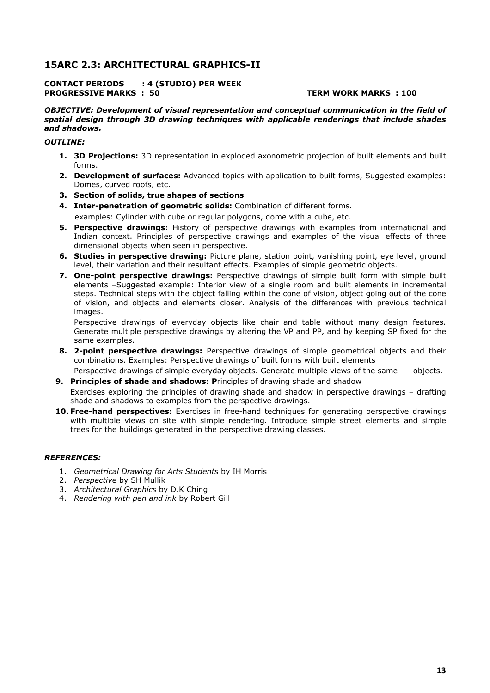# **15ARC 2.3: ARCHITECTURAL GRAPHICS-II**

#### **CONTACT PERIODS : 4 (STUDIO) PER WEEK PROGRESSIVE MARKS : 50 TERM WORK MARKS : 100**

#### *OBJECTIVE: Development of visual representation and conceptual communication in the field of spatial design through 3D drawing techniques with applicable renderings that include shades and shadows.*

# *OUTLINE:*

- **1. 3D Projections:** 3D representation in exploded axonometric projection of built elements and built forms.
- **2. Development of surfaces:** Advanced topics with application to built forms, Suggested examples: Domes, curved roofs, etc.
- **3. Section of solids, true shapes of sections**
- **4. Inter-penetration of geometric solids:** Combination of different forms. examples: Cylinder with cube or regular polygons, dome with a cube, etc.
- **5. Perspective drawings:** History of perspective drawings with examples from international and Indian context. Principles of perspective drawings and examples of the visual effects of three dimensional objects when seen in perspective.
- **6. Studies in perspective drawing:** Picture plane, station point, vanishing point, eye level, ground level, their variation and their resultant effects. Examples of simple geometric objects.
- **7. One-point perspective drawings:** Perspective drawings of simple built form with simple built elements –Suggested example: Interior view of a single room and built elements in incremental steps. Technical steps with the object falling within the cone of vision, object going out of the cone of vision, and objects and elements closer. Analysis of the differences with previous technical images.

Perspective drawings of everyday objects like chair and table without many design features. Generate multiple perspective drawings by altering the VP and PP, and by keeping SP fixed for the same examples.

**8. 2-point perspective drawings:** Perspective drawings of simple geometrical objects and their combinations. Examples: Perspective drawings of built forms with built elements

Perspective drawings of simple everyday objects. Generate multiple views of the same objects. **9. Principles of shade and shadows: P**rinciples of drawing shade and shadow

Exercises exploring the principles of drawing shade and shadow in perspective drawings – drafting shade and shadows to examples from the perspective drawings.

**10. Free-hand perspectives:** Exercises in free-hand techniques for generating perspective drawings with multiple views on site with simple rendering. Introduce simple street elements and simple trees for the buildings generated in the perspective drawing classes.

- 1. *Geometrical Drawing for Arts Students* by IH Morris
- 2. *Perspective* by SH Mullik
- 3. *Architectural Graphics* by D.K Ching
- 4. *Rendering with pen and ink* by Robert Gill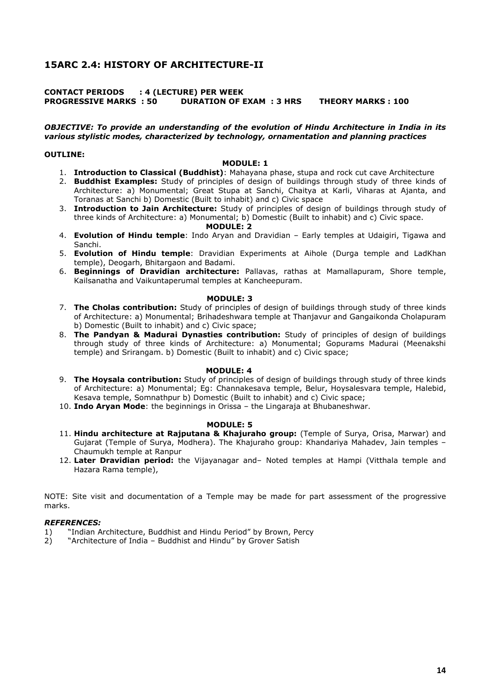# **15ARC 2.4: HISTORY OF ARCHITECTURE-II**

# **CONTACT PERIODS : 4 (LECTURE) PER WEEK** **PROGRESSIVE MARKS : 50 DURATION OF EXAM : 3 HRS THEORY MARKS : 100**

#### *OBJECTIVE: To provide an understanding of the evolution of Hindu Architecture in India in its various stylistic modes, characterized by technology, ornamentation and planning practices*

## **OUTLINE:**

#### **MODULE: 1**

- 1. **Introduction to Classical (Buddhist)**: Mahayana phase, stupa and rock cut cave Architecture
- 2. **Buddhist Examples:** Study of principles of design of buildings through study of three kinds of Architecture: a) Monumental; Great Stupa at Sanchi, Chaitya at Karli, Viharas at Ajanta, and Toranas at Sanchi b) Domestic (Built to inhabit) and c) Civic space
- 3. **Introduction to Jain Architecture:** Study of principles of design of buildings through study of three kinds of Architecture: a) Monumental; b) Domestic (Built to inhabit) and c) Civic space.  **MODULE: 2**
- 4. **Evolution of Hindu temple**: Indo Aryan and Dravidian Early temples at Udaigiri, Tigawa and Sanchi.
- 5. **Evolution of Hindu temple**: Dravidian Experiments at Aihole (Durga temple and LadKhan temple), Deogarh, Bhitargaon and Badami.
- 6. **Beginnings of Dravidian architecture:** Pallavas, rathas at Mamallapuram, Shore temple, Kailsanatha and Vaikuntaperumal temples at Kancheepuram.

#### **MODULE: 3**

- 7. **The Cholas contribution:** Study of principles of design of buildings through study of three kinds of Architecture: a) Monumental; Brihadeshwara temple at Thanjavur and Gangaikonda Cholapuram b) Domestic (Built to inhabit) and c) Civic space;
- 8. **The Pandyan & Madurai Dynasties contribution:** Study of principles of design of buildings through study of three kinds of Architecture: a) Monumental; Gopurams Madurai (Meenakshi temple) and Srirangam. b) Domestic (Built to inhabit) and c) Civic space;

## **MODULE: 4**

- 9. **The Hoysala contribution:** Study of principles of design of buildings through study of three kinds of Architecture: a) Monumental; Eg: Channakesava temple, Belur, Hoysalesvara temple, Halebid, Kesava temple, Somnathpur b) Domestic (Built to inhabit) and c) Civic space;
- 10. **Indo Aryan Mode**: the beginnings in Orissa the Lingaraja at Bhubaneshwar.

## **MODULE: 5**

- 11. **Hindu architecture at Rajputana & Khajuraho group:** (Temple of Surya, Orisa, Marwar) and Gujarat (Temple of Surya, Modhera). The Khajuraho group: Khandariya Mahadev, Jain temples – Chaumukh temple at Ranpur
- 12. **Later Dravidian period:** the Vijayanagar and– Noted temples at Hampi (Vitthala temple and Hazara Rama temple),

NOTE: Site visit and documentation of a Temple may be made for part assessment of the progressive marks.

- 1) "Indian Architecture, Buddhist and Hindu Period" by Brown, Percy
- 2) "Architecture of India Buddhist and Hindu" by Grover Satish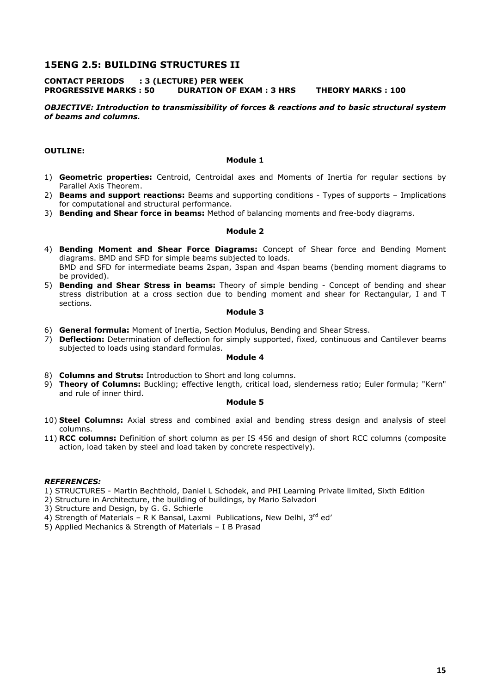# **15ENG 2.5: BUILDING STRUCTURES II**

# **CONTACT PERIODS : 3 (LECTURE) PER WEEK PROGRESSIVE MARKS : 50 DURATION OF EXAM : 3 HRS THEORY MARKS : 100**

# *OBJECTIVE: Introduction to transmissibility of forces & reactions and to basic structural system of beams and columns.*

# **OUTLINE:**

#### **Module 1**

- 1) **Geometric properties:** Centroid, Centroidal axes and Moments of Inertia for regular sections by Parallel Axis Theorem.
- 2) **Beams and support reactions:** Beams and supporting conditions Types of supports Implications for computational and structural performance.
- 3) **Bending and Shear force in beams:** Method of balancing moments and free-body diagrams.

#### **Module 2**

- 4) **Bending Moment and Shear Force Diagrams:** Concept of Shear force and Bending Moment diagrams. BMD and SFD for simple beams subjected to loads. BMD and SFD for intermediate beams 2span, 3span and 4span beams (bending moment diagrams to be provided).
- 5) **Bending and Shear Stress in beams:** Theory of simple bending Concept of bending and shear stress distribution at a cross section due to bending moment and shear for Rectangular, I and T sections.

#### **Module 3**

- 6) **General formula:** Moment of Inertia, Section Modulus, Bending and Shear Stress.
- 7) **Deflection:** Determination of deflection for simply supported, fixed, continuous and Cantilever beams subjected to loads using standard formulas.

#### **Module 4**

- 8) **Columns and Struts:** Introduction to Short and long columns.
- 9) **Theory of Columns:** Buckling; effective length, critical load, slenderness ratio; Euler formula; "Kern" and rule of inner third.

# **Module 5**

- 10) **Steel Columns:** Axial stress and combined axial and bending stress design and analysis of steel columns.
- 11) **RCC columns:** Definition of short column as per IS 456 and design of short RCC columns (composite action, load taken by steel and load taken by concrete respectively).

#### *REFERENCES:*

- 1) STRUCTURES Martin Bechthold, Daniel L Schodek, and PHI Learning Private limited, Sixth Edition
- 2) Structure in Architecture, the building of buildings, by Mario Salvadori

3) Structure and Design, by G. G. Schierle

- 4) Strength of Materials R K Bansal, Laxmi Publications, New Delhi,  $3^{rd}$  ed'
- 5) Applied Mechanics & Strength of Materials I B Prasad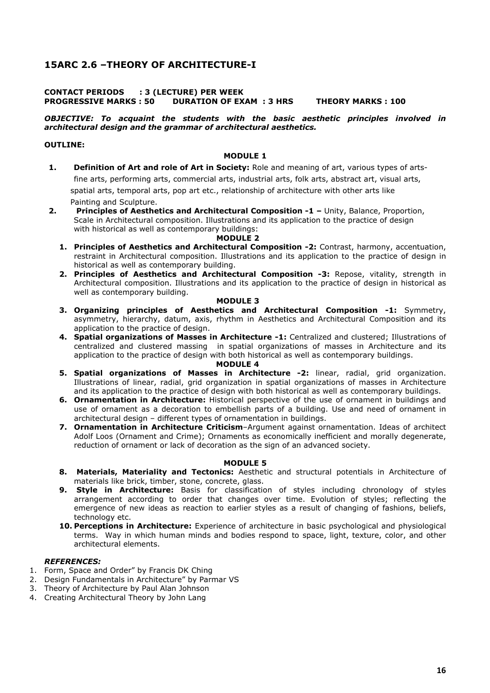# **15ARC 2.6 –THEORY OF ARCHITECTURE-I**

# **CONTACT PERIODS : 3 (LECTURE) PER WEEK PROGRESSIVE MARKS : 50 DURATION OF EXAM : 3 HRS THEORY MARKS : 100**

# *OBJECTIVE: To acquaint the students with the basic aesthetic principles involved in architectural design and the grammar of architectural aesthetics.*

# **OUTLINE:**

# **MODULE 1**

- **1. Definition of Art and role of Art in Society:** Role and meaning of art, various types of arts fine arts, performing arts, commercial arts, industrial arts, folk arts, abstract art, visual arts, spatial arts, temporal arts, pop art etc., relationship of architecture with other arts like Painting and Sculpture.
- **2. Principles of Aesthetics and Architectural Composition -1** Unity, Balance, Proportion, Scale in Architectural composition. Illustrations and its application to the practice of design with historical as well as contemporary buildings:

#### **MODULE 2**

- **1. Principles of Aesthetics and Architectural Composition -2:** Contrast, harmony, accentuation, restraint in Architectural composition. Illustrations and its application to the practice of design in historical as well as contemporary building.
- **2. Principles of Aesthetics and Architectural Composition -3:** Repose, vitality, strength in Architectural composition. Illustrations and its application to the practice of design in historical as well as contemporary building.

#### **MODULE 3**

- **3. Organizing principles of Aesthetics and Architectural Composition -1:** Symmetry, asymmetry, hierarchy, datum, axis, rhythm in Aesthetics and Architectural Composition and its application to the practice of design.
- **4. Spatial organizations of Masses in Architecture -1:** Centralized and clustered; Illustrations of centralized and clustered massing in spatial organizations of masses in Architecture and its application to the practice of design with both historical as well as contemporary buildings.

## **MODULE 4**

- **5. Spatial organizations of Masses in Architecture -2:** linear, radial, grid organization. Illustrations of linear, radial, grid organization in spatial organizations of masses in Architecture and its application to the practice of design with both historical as well as contemporary buildings.
- **6. Ornamentation in Architecture:** Historical perspective of the use of ornament in buildings and use of ornament as a decoration to embellish parts of a building. Use and need of ornament in architectural design – different types of ornamentation in buildings.
- **7. Ornamentation in Architecture Criticism**–Argument against ornamentation. Ideas of architect Adolf Loos (Ornament and Crime); Ornaments as economically inefficient and morally degenerate, reduction of ornament or lack of decoration as the sign of an advanced society.

## **MODULE 5**

- **8. Materials, Materiality and Tectonics:** Aesthetic and structural potentials in Architecture of materials like brick, timber, stone, concrete, glass.
- 9. Style in Architecture: Basis for classification of styles including chronology of styles arrangement according to order that changes over time. Evolution of styles; reflecting the emergence of new ideas as reaction to earlier styles as a result of changing of fashions, beliefs, technology etc.
- **10. Perceptions in Architecture:** Experience of architecture in basic psychological and physiological terms. Way in which human minds and bodies respond to space, light, texture, color, and other architectural elements.

- 1. Form, Space and Order" by Francis DK Ching
- 2. Design Fundamentals in Architecture" by Parmar VS
- 3. Theory of Architecture by Paul Alan Johnson
- 4. Creating Architectural Theory by John Lang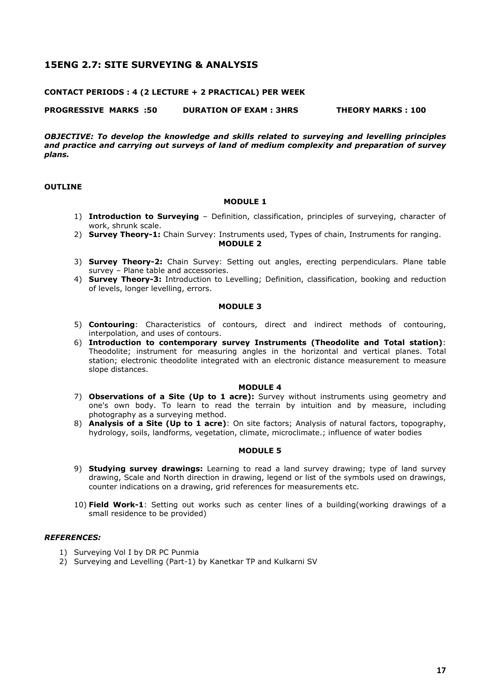# **15ENG 2.7: SITE SURVEYING & ANALYSIS**

## **CONTACT PERIODS : 4 (2 LECTURE + 2 PRACTICAL) PER WEEK**

**PROGRESSIVE MARKS :50 DURATION OF EXAM : 3HRS THEORY MARKS : 100** 

*OBJECTIVE: To develop the knowledge and skills related to surveying and levelling principles and practice and carrying out surveys of land of medium complexity and preparation of survey plans.* 

#### **OUTLINE**

#### **MODULE 1**

- 1) **Introduction to Surveying** Definition, classification, principles of surveying, character of work, shrunk scale.
- 2) **Survey Theory-1:** Chain Survey: Instruments used, Types of chain, Instruments for ranging.  **MODULE 2**
- 3) **Survey Theory-2:** Chain Survey: Setting out angles, erecting perpendiculars. Plane table survey – Plane table and accessories.
- 4) **Survey Theory-3:** Introduction to Levelling; Definition, classification, booking and reduction of levels, longer levelling, errors.

#### **MODULE 3**

- 5) **Contouring**: Characteristics of contours, direct and indirect methods of contouring, interpolation, and uses of contours.
- 6) **Introduction to contemporary survey Instruments (Theodolite and Total station)**: Theodolite; instrument for measuring angles in the horizontal and vertical planes. Total station; electronic theodolite integrated with an electronic distance measurement to measure slope distances.

#### **MODULE 4**

- 7) **Observations of a Site (Up to 1 acre):** Survey without instruments using geometry and one's own body. To learn to read the terrain by intuition and by measure, including photography as a surveying method.
- 8) **Analysis of a Site (Up to 1 acre)**: On site factors; Analysis of natural factors, topography, hydrology, soils, landforms, vegetation, climate, microclimate.; influence of water bodies

# **MODULE 5**

- 9) **Studying survey drawings:** Learning to read a land survey drawing; type of land survey drawing, Scale and North direction in drawing, legend or list of the symbols used on drawings, counter indications on a drawing, grid references for measurements etc.
- 10) **Field Work-1**: Setting out works such as center lines of a building(working drawings of a small residence to be provided)

- 1) Surveying Vol I by DR PC Punmia
- 2) Surveying and Levelling (Part-1) by Kanetkar TP and Kulkarni SV